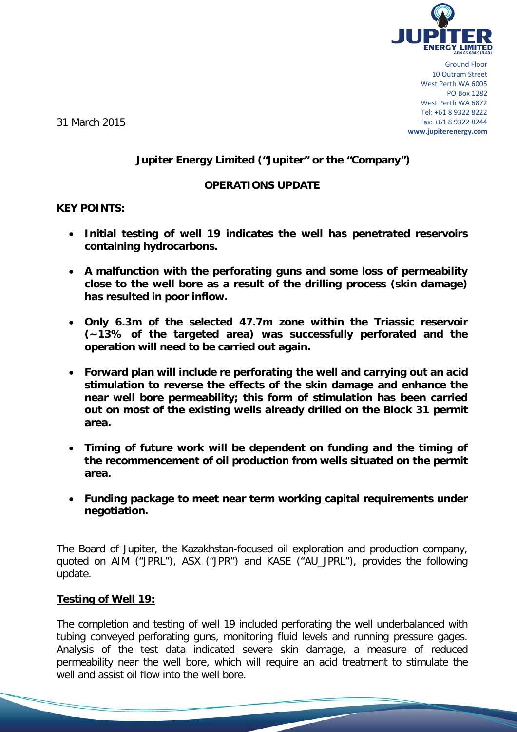

Ground Floor 10 Outram Street West Perth WA 6005 PO Box 1282 West Perth WA 6872 Tel: +61 8 9322 8222 Fax: +61 8 9322 8244 **www.jupiterenergy.com**

31 March 2015

# **Jupiter Energy Limited ("Jupiter" or the "Company")**

### **OPERATIONS UPDATE**

### **KEY POINTS:**

- **Initial testing of well 19 indicates the well has penetrated reservoirs containing hydrocarbons.**
- **A malfunction with the perforating guns and some loss of permeability close to the well bore as a result of the drilling process (skin damage) has resulted in poor inflow.**
- **Only 6.3m of the selected 47.7m zone within the Triassic reservoir (~13% of the targeted area) was successfully perforated and the operation will need to be carried out again.**
- **Forward plan will include re perforating the well and carrying out an acid stimulation to reverse the effects of the skin damage and enhance the near well bore permeability; this form of stimulation has been carried out on most of the existing wells already drilled on the Block 31 permit area.**
- **Timing of future work will be dependent on funding and the timing of the recommencement of oil production from wells situated on the permit area.**
- **Funding package to meet near term working capital requirements under negotiation.**

The Board of Jupiter, the Kazakhstan-focused oil exploration and production company, quoted on AIM ("JPRL"), ASX ("JPR") and KASE ("AU\_JPRL"), provides the following update.

### **Testing of Well 19:**

The completion and testing of well 19 included perforating the well underbalanced with tubing conveyed perforating guns, monitoring fluid levels and running pressure gages. Analysis of the test data indicated severe skin damage, a measure of reduced permeability near the well bore, which will require an acid treatment to stimulate the well and assist oil flow into the well bore.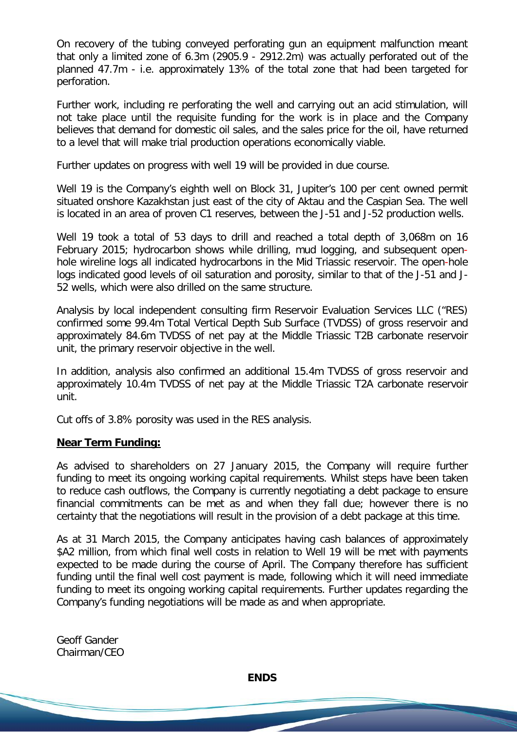On recovery of the tubing conveyed perforating gun an equipment malfunction meant that only a limited zone of 6.3m (2905.9 - 2912.2m) was actually perforated out of the planned 47.7m - i.e. approximately 13% of the total zone that had been targeted for perforation.

Further work, including re perforating the well and carrying out an acid stimulation, will not take place until the requisite funding for the work is in place and the Company believes that demand for domestic oil sales, and the sales price for the oil, have returned to a level that will make trial production operations economically viable.

Further updates on progress with well 19 will be provided in due course.

Well 19 is the Company's eighth well on Block 31, Jupiter's 100 per cent owned permit situated onshore Kazakhstan just east of the city of Aktau and the Caspian Sea. The well is located in an area of proven C1 reserves, between the J-51 and J-52 production wells.

Well 19 took a total of 53 days to drill and reached a total depth of 3,068m on 16 February 2015; hydrocarbon shows while drilling, mud logging, and subsequent openhole wireline logs all indicated hydrocarbons in the Mid Triassic reservoir. The open-hole logs indicated good levels of oil saturation and porosity, similar to that of the J-51 and J-52 wells, which were also drilled on the same structure.

Analysis by local independent consulting firm Reservoir Evaluation Services LLC ("RES) confirmed some 99.4m Total Vertical Depth Sub Surface (TVDSS) of gross reservoir and approximately 84.6m TVDSS of net pay at the Middle Triassic T2B carbonate reservoir unit, the primary reservoir objective in the well.

In addition, analysis also confirmed an additional 15.4m TVDSS of gross reservoir and approximately 10.4m TVDSS of net pay at the Middle Triassic T2A carbonate reservoir unit.

Cut offs of 3.8% porosity was used in the RES analysis.

#### **Near Term Funding:**

As advised to shareholders on 27 January 2015, the Company will require further funding to meet its ongoing working capital requirements. Whilst steps have been taken to reduce cash outflows, the Company is currently negotiating a debt package to ensure financial commitments can be met as and when they fall due; however there is no certainty that the negotiations will result in the provision of a debt package at this time.

As at 31 March 2015, the Company anticipates having cash balances of approximately \$A2 million, from which final well costs in relation to Well 19 will be met with payments expected to be made during the course of April. The Company therefore has sufficient funding until the final well cost payment is made, following which it will need immediate funding to meet its ongoing working capital requirements. Further updates regarding the Company's funding negotiations will be made as and when appropriate.

Geoff Gander Chairman/CEO

**ENDS**